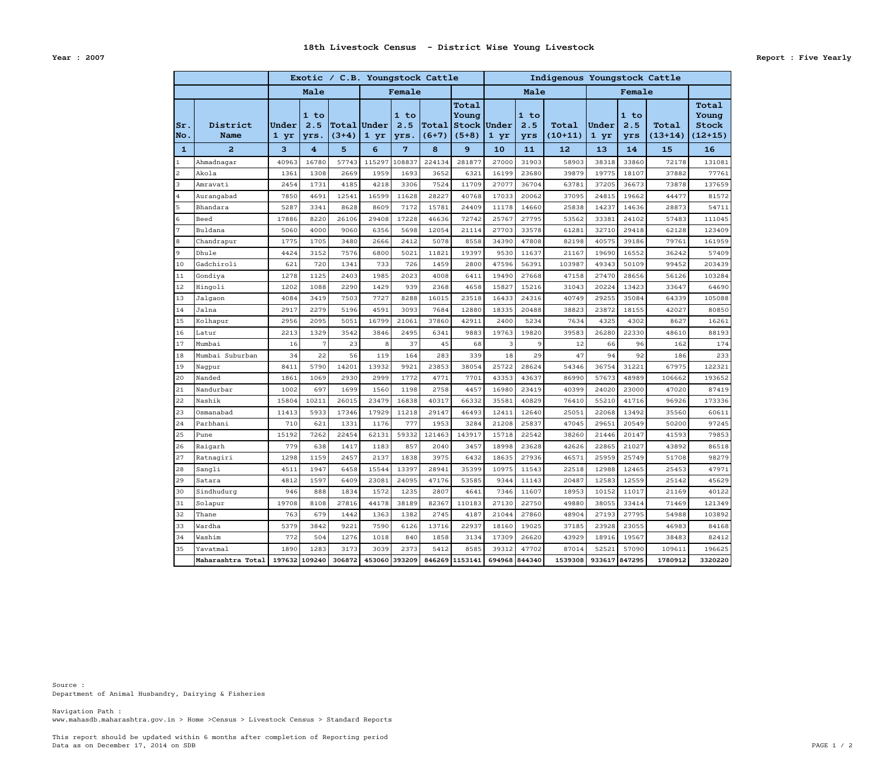Data as on December 17, 2014 on SDB PAGE 1 / 2 This report should be updated within 6 months after completion of Reporting period

www.mahasdb.maharashtra.gov.in > Home >Census > Livestock Census > Standard Reports Navigation Path :

Department of Animal Husbandry, Dairying & Fisheries Source :

|                           |                         |               |                       |                               | Exotic / C.B. Youngstock Cattle |                     |                  |                                          | Indigenous Youngstock Cattle |                    |                    |               |                    |                    |                                             |
|---------------------------|-------------------------|---------------|-----------------------|-------------------------------|---------------------------------|---------------------|------------------|------------------------------------------|------------------------------|--------------------|--------------------|---------------|--------------------|--------------------|---------------------------------------------|
|                           |                         | Male          |                       |                               | Female                          |                     |                  |                                          | Male                         |                    |                    | Female        |                    |                    |                                             |
| $ {\rm Sr}$ .<br>$ $ No . | District<br><b>Name</b> | Under<br>1 yr | $1$ to<br>2.5<br>yrs. | <b>Total Under</b><br>$(3+4)$ | 1 yr                            | 1 to<br>2.5<br>yrs. | Total<br>$(6+7)$ | Total<br>Young<br>Stock Under<br>$(5+8)$ | 1 yr                         | 1 to<br>2.5<br>yrs | Total<br>$(10+11)$ | Under<br>1 yr | 1 to<br>2.5<br>yrs | Total<br>$(13+14)$ | Total<br>Young<br><b>Stock</b><br>$(12+15)$ |
| $\mathbf{1}$              | $\overline{a}$          | 3             | $\overline{4}$        | 5 <sup>5</sup>                | 6                               | 7                   | 8                | 9                                        | 10                           | 11                 | 12                 | 13            | 14                 | 15                 | 16                                          |
| $\mathbf{1}$              | Ahmadnagar              | 40963         | 16780                 | 57743                         | 115297                          | 108837              | 224134           | 281877                                   | 27000                        | 31903              | 58903              | 38318         | 33860              | 72178              | 131081                                      |
| $\overline{c}$            | Akola                   | 1361          | 1308                  | 2669                          | 1959                            | 1693                | 3652             | 6321                                     | 16199                        | 23680              | 39879              | 19775         | 18107              | 37882              | 77761                                       |
| 3                         | Amravati                | 2454          | 1731                  | 4185                          | 4218                            | 3306                | 7524             | 11709                                    | 27077                        | 36704              | 63781              | 37205         | 36673              | 73878              | 137659                                      |
| $\overline{4}$            | Aurangabad              | 7850          | 4691                  | 12541                         | 16599                           | 11628               | 28227            | 40768                                    | 17033                        | 20062              | 37095              | 24815         | 19662              | 44477              | 81572                                       |
| 5                         | Bhandara                | 5287          | 3341                  | 8628                          | 8609                            | 7172                | 15781            | 24409                                    | 11178                        | 14660              | 25838              | 14237         | 14636              | 28873              | 54711                                       |
| 6                         | Beed                    | 17886         | 8220                  | 26106                         | 29408                           | 17228               | 46636            | 72742                                    | 25767                        | 27795              | 53562              | 33381         | 24102              | 57483              | 111045                                      |
| $7\phantom{.0}$           | Buldana                 | 5060          | 4000                  | 9060                          | 6356                            | 5698                | 12054            | 21114                                    | 27703                        | 33578              | 61281              | 32710         | 29418              | 62128              | 123409                                      |
| 8                         | Chandrapur              | 1775          | 1705                  | 3480                          | 2666                            | 2412                | 5078             | 8558                                     | 34390                        | 47808              | 82198              | 40575         | 39186              | 79761              | 161959                                      |
| $\overline{9}$            | Dhule                   | 4424          | 3152                  | 7576                          | 6800                            | 5021                | 11821            | 19397                                    | 9530                         | 11637              | 21167              | 19690         | 16552              | 36242              | 57409                                       |
| 10                        | Gadchiroli              | 621           | 720                   | 1341                          | 733                             | 726                 | 1459             | 2800                                     | 47596                        | 56391              | 103987             | 49343         | 50109              | 99452              | 203439                                      |
| 11                        | Gondiya                 | 1278          | 1125                  | 2403                          | 1985                            | 2023                | 4008             | 6411                                     | 19490                        | 27668              | 47158              | 27470         | 28656              | 56126              | 103284                                      |
| 12                        | Hingoli                 | 1202          | 1088                  | 2290                          | 1429                            | 939                 | 2368             | 4658                                     | 15827                        | 15216              | 31043              | 20224         | 13423              | 33647              | 64690                                       |
| 13                        | Jalgaon                 | 4084          | 3419                  | 7503                          | 7727                            | 8288                | 16015            | 23518                                    | 16433                        | 24316              | 40749              | 29255         | 35084              | 64339              | 105088                                      |
| 14                        | Jalna                   | 2917          | 2279                  | 5196                          | 4591                            | 3093                | 7684             | 12880                                    | 18335                        | 20488              | 38823              | 23872         | 18155              | 42027              | 80850                                       |
| 15                        | Kolhapur                | 2956          | 2095                  | 5051                          | 16799                           | 21061               | 37860            | 42911                                    | 2400                         | 5234               | 7634               | 4325          | 4302               | 8627               | 16261                                       |
| 16                        | Latur                   | 2213          | 1329                  | 3542                          | 3846                            | 2495                | 6341             | 9883                                     | 19763                        | 19820              | 39583              | 26280         | 22330              | 48610              | 88193                                       |
| 17                        | Mumbai                  | 16            | 7                     | 23                            | 8                               | 37                  | 45               | 68                                       | 3                            | 9                  | 12                 | 66            | 96                 | 162                | 174                                         |
| 18                        | Mumbai Suburban         | 34            | 22                    | 56                            | 119                             | 164                 | 283              | 339                                      | 18                           | 29                 | 47                 | 94            | 92                 | 186                | 233                                         |
| 19                        | Nagpur                  | 8411          | 5790                  | 14201                         | 13932                           | 9921                | 23853            | 38054                                    | 25722                        | 28624              | 54346              | 36754         | 31221              | 67975              | 122321                                      |
| 20                        | Nanded                  | 1861          | 1069                  | 2930                          | 2999                            | 1772                | 4771             | 7701                                     | 43353                        | 43637              | 86990              | 57673         | 48989              | 106662             | 193652                                      |
| 21                        | Nandurbar               | 1002          | 697                   | 1699                          | 1560                            | 1198                | 2758             | 4457                                     | 16980                        | 23419              | 40399              | 24020         | 23000              | 47020              | 87419                                       |
| 22                        | Nashik                  | 15804         | 10211                 | 26015                         | 23479                           | 16838               | 40317            | 66332                                    | 35581                        | 40829              | 76410              | 55210         | 41716              | 96926              | 173336                                      |
| 23                        | Osmanabad               | 11413         | 5933                  | 17346                         | 17929                           | 11218               | 29147            | 46493                                    | 12411                        | 12640              | 25051              | 22068         | 13492              | 35560              | 60611                                       |
| 24                        | Parbhani                | 710           | 621                   | 1331                          | 1176                            | 777                 | 1953             | 3284                                     | 21208                        | 25837              | 47045              | 29651         | 20549              | 50200              | 97245                                       |
| 25                        | Pune                    | 15192         | 7262                  | 22454                         | 62131                           | 59332               | 121463           | 143917                                   | 15718                        | 22542              | 38260              | 21446         | 20147              | 41593              | 79853                                       |
| 26                        | Raigarh                 | 779           | 638                   | 1417                          | 1183                            | 857                 | 2040             | 3457                                     | 18998                        | 23628              | 42626              | 22865         | 21027              | 43892              | 86518                                       |
| 27                        | Ratnagiri               | 1298          | 1159                  | 2457                          | 2137                            | 1838                | 3975             | 6432                                     | 18635                        | 27936              | 46571              | 25959         | 25749              | 51708              | 98279                                       |
| 28                        | Sangli                  | 4511          | 1947                  | 6458                          | 15544                           | 13397               | 28941            | 35399                                    | 10975                        | 11543              | 22518              | 12988         | 12465              | 25453              | 47971                                       |
| 29                        | Satara                  | 4812          | 1597                  | 6409                          | 23081                           | 24095               | 47176            | 53585                                    | 9344                         | 11143              | 20487              | 12583         | 12559              | 25142              | 45629                                       |
| 30                        | Sindhudurg              | 946           | 888                   | 1834                          | 1572                            | 1235                | 2807             | 4641                                     | 7346                         | 11607              | 18953              | 10152         | 11017              | 21169              | 40122                                       |
| 31                        | Solapur                 | 19708         | 8108                  | 27816                         | 44178                           | 38189               | 82367            | 110183                                   | 27130                        | 22750              | 49880              | 38055         | 33414              | 71469              | 121349                                      |
| 32                        | Thane                   | 763           | 679                   | 1442                          | 1363                            | 1382                | 2745             | 4187                                     | 21044                        | 27860              | 48904              | 27193         | 27795              | 54988              | 103892                                      |
| 33                        | Wardha                  | 5379          | 3842                  | 9221                          | 7590                            | 6126                | 13716            | 22937                                    | 18160                        | 19025              | 37185              | 23928         | 23055              | 46983              | 84168                                       |
| 34                        | Washim                  | 772           | 504                   | 1276                          | 1018                            | 840                 | 1858             | 3134                                     | 17309                        | 26620              | 43929              | 18916         | 19567              | 38483              | 82412                                       |
| 35                        | Yavatmal                | 1890          | 1283                  | 3173                          | 3039                            | 2373                | 5412             | 8585                                     | 39312                        | 47702              | 87014              | 52521         | 57090              | 109611             | 196625                                      |
|                           | Maharashtra Total       |               |                       | 197632 109240 306872          | 453060 393209                   |                     |                  | 846269 1153141                           |                              | 694968 844340      | 1539308            | 933617 847295 |                    | 1780912            | 3320220                                     |